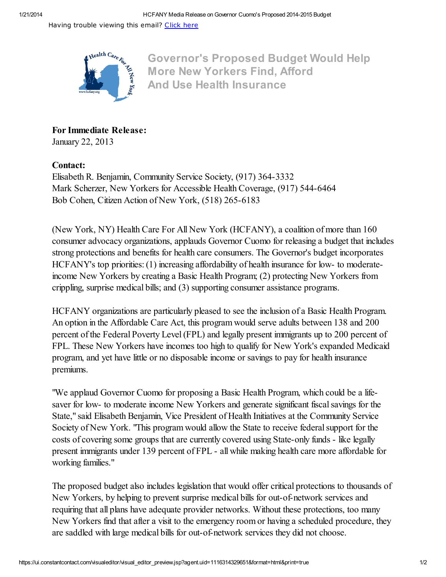Having trouble viewing this email? [Click](http://campaign.r20.constantcontact.com/render?llr=s4js6mcab&v=001vUitVcnL-0d1_mFraItuTscWVdGb86F8-b1NWt-lTW-v_sH6k8wGyXMdvOOMJoE9yk0oHXMgYuWmzDeHXWBrqC9w50oSgFusvYEq6q-mKLu0uhZ3goThUuH_2p1sxWtueUm8U9yZ_Vn4ZOhNGeSP_5a4ev1-ogw7aK1oPSVDrIXESJphZmmv6H15OBa6_fFOM1rlfxy0BUQYHFRHcvG5zNvlIw1-kAs1LdoD2WPeCHejvVguE4Sy8t3UI7_M57NRqrE4k3bMdC-tfozOarIe85QX5YjQQL_UYj-LzdvGI7CWPRPnzpNy8c8u4rgFrna32VFJaGNx_PQnHZXqyCamww%3D%3D&id=preview) here



Governor's Proposed Budget Would Help More New Yorkers Find, Afford And Use Health Insurance

For Immediate Release: January 22, 2013

## Contact:

Elisabeth R. Benjamin, Community Service Society, (917) 364-3332 Mark Scherzer, New Yorkers for Accessible Health Coverage, (917) 544-6464 Bob Cohen, Citizen Action of New York, (518) 265-6183

(New York, NY) Health Care For All New York (HCFANY), a coalition of more than 160 consumer advocacy organizations, applauds Governor Cuomo for releasing a budget that includes strong protections and benefits for health care consumers. The Governor's budget incorporates HCFANY's top priorities: (1) increasing affordability of health insurance for low- to moderateincome New Yorkers by creating a Basic Health Program; (2) protecting New Yorkers from crippling, surprise medical bills; and (3) supporting consumer assistance programs.

HCFANY organizations are particularly pleased to see the inclusion of a Basic Health Program. An option in the Affordable Care Act, this program would serve adults between 138 and 200 percent of the Federal Poverty Level(FPL) and legally present immigrants up to 200 percent of FPL. These New Yorkers have incomes too high to qualify for New York's expanded Medicaid program, and yet have little or no disposable income or savings to pay for health insurance premiums.

"We applaud Governor Cuomo for proposing a Basic Health Program, which could be a lifesaver for low- to moderate income New Yorkers and generate significant fiscal savings for the State," said Elisabeth Benjamin, Vice President of Health Initiatives at the Community Service Society of New York. "This program would allow the State to receive federal support for the costs of covering some groups that are currently covered using State-only funds - like legally present immigrants under 139 percent of FPL - all while making health care more affordable for working families."

The proposed budget also includes legislation that would offer critical protections to thousands of New Yorkers, by helping to prevent surprise medical bills for out-of-network services and requiring that all plans have adequate provider networks. Without these protections, too many New Yorkers find that after a visit to the emergency room or having a scheduled procedure, they are saddled with large medical bills for out-of-network services they did not choose.